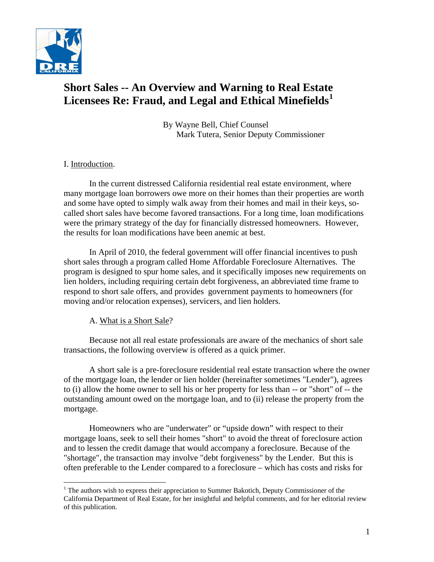

# **Short Sales -- An Overview and Warning to Real Estate Licensees Re: Fraud, and Legal and Ethical Minefields[1](#page-0-0)**

By Wayne Bell, Chief Counsel Mark Tutera, Senior Deputy Commissioner

# I. Introduction.

 $\overline{a}$ 

 In the current distressed California residential real estate environment, where many mortgage loan borrowers owe more on their homes than their properties are worth and some have opted to simply walk away from their homes and mail in their keys, socalled short sales have become favored transactions. For a long time, loan modifications were the primary strategy of the day for financially distressed homeowners. However, the results for loan modifications have been anemic at best.

 In April of 2010, the federal government will offer financial incentives to push short sales through a program called Home Affordable Foreclosure Alternatives. The program is designed to spur home sales, and it specifically imposes new requirements on lien holders, including requiring certain debt forgiveness, an abbreviated time frame to respond to short sale offers, and provides government payments to homeowners (for moving and/or relocation expenses), servicers, and lien holders.

# A. What is a Short Sale?

 Because not all real estate professionals are aware of the mechanics of short sale transactions, the following overview is offered as a quick primer.

 A short sale is a pre-foreclosure residential real estate transaction where the owner of the mortgage loan, the lender or lien holder (hereinafter sometimes "Lender"), agrees to (i) allow the home owner to sell his or her property for less than -- or "short" of -- the outstanding amount owed on the mortgage loan, and to (ii) release the property from the mortgage.

 Homeowners who are "underwater" or "upside down" with respect to their mortgage loans, seek to sell their homes "short" to avoid the threat of foreclosure action and to lessen the credit damage that would accompany a foreclosure. Because of the "shortage", the transaction may involve "debt forgiveness" by the Lender. But this is often preferable to the Lender compared to a foreclosure – which has costs and risks for

<span id="page-0-0"></span><sup>&</sup>lt;sup>1</sup> The authors wish to express their appreciation to Summer Bakotich, Deputy Commissioner of the California Department of Real Estate, for her insightful and helpful comments, and for her editorial review of this publication.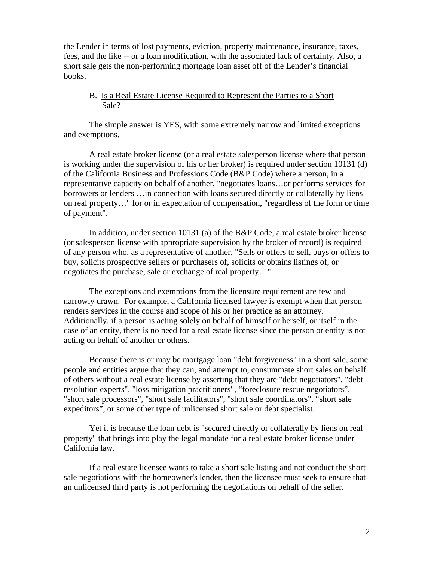the Lender in terms of lost payments, eviction, property maintenance, insurance, taxes, fees, and the like -- or a loan modification, with the associated lack of certainty. Also, a short sale gets the non-performing mortgage loan asset off of the Lender's financial books.

# B. Is a Real Estate License Required to Represent the Parties to a Short Sale?

 The simple answer is YES, with some extremely narrow and limited exceptions and exemptions.

 A real estate broker license (or a real estate salesperson license where that person is working under the supervision of his or her broker) is required under section 10131 (d) of the California Business and Professions Code (B&P Code) where a person, in a representative capacity on behalf of another, "negotiates loans…or performs services for borrowers or lenders …in connection with loans secured directly or collaterally by liens on real property…" for or in expectation of compensation, "regardless of the form or time of payment".

 In addition, under section 10131 (a) of the B&P Code, a real estate broker license (or salesperson license with appropriate supervision by the broker of record) is required of any person who, as a representative of another, "Sells or offers to sell, buys or offers to buy, solicits prospective sellers or purchasers of, solicits or obtains listings of, or negotiates the purchase, sale or exchange of real property…"

 The exceptions and exemptions from the licensure requirement are few and narrowly drawn. For example, a California licensed lawyer is exempt when that person renders services in the course and scope of his or her practice as an attorney. Additionally, if a person is acting solely on behalf of himself or herself, or itself in the case of an entity, there is no need for a real estate license since the person or entity is not acting on behalf of another or others.

 Because there is or may be mortgage loan "debt forgiveness" in a short sale, some people and entities argue that they can, and attempt to, consummate short sales on behalf of others without a real estate license by asserting that they are "debt negotiators", "debt resolution experts", "loss mitigation practitioners", "foreclosure rescue negotiators", "short sale processors", "short sale facilitators", "short sale coordinators", "short sale expeditors", or some other type of unlicensed short sale or debt specialist.

 Yet it is because the loan debt is "secured directly or collaterally by liens on real property" that brings into play the legal mandate for a real estate broker license under California law.

 If a real estate licensee wants to take a short sale listing and not conduct the short sale negotiations with the homeowner's lender, then the licensee must seek to ensure that an unlicensed third party is not performing the negotiations on behalf of the seller.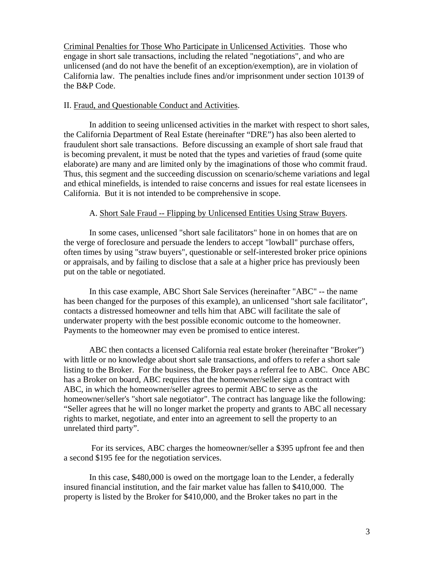Criminal Penalties for Those Who Participate in Unlicensed Activities. Those who engage in short sale transactions, including the related "negotiations", and who are unlicensed (and do not have the benefit of an exception/exemption), are in violation of California law. The penalties include fines and/or imprisonment under section 10139 of the B&P Code.

#### II. Fraud, and Questionable Conduct and Activities.

 In addition to seeing unlicensed activities in the market with respect to short sales, the California Department of Real Estate (hereinafter "DRE") has also been alerted to fraudulent short sale transactions. Before discussing an example of short sale fraud that is becoming prevalent, it must be noted that the types and varieties of fraud (some quite elaborate) are many and are limited only by the imaginations of those who commit fraud. Thus, this segment and the succeeding discussion on scenario/scheme variations and legal and ethical minefields, is intended to raise concerns and issues for real estate licensees in California. But it is not intended to be comprehensive in scope.

#### A. Short Sale Fraud -- Flipping by Unlicensed Entities Using Straw Buyers.

 In some cases, unlicensed "short sale facilitators" hone in on homes that are on the verge of foreclosure and persuade the lenders to accept "lowball" purchase offers, often times by using "straw buyers", questionable or self-interested broker price opinions or appraisals, and by failing to disclose that a sale at a higher price has previously been put on the table or negotiated.

 In this case example, ABC Short Sale Services (hereinafter "ABC" -- the name has been changed for the purposes of this example), an unlicensed "short sale facilitator", contacts a distressed homeowner and tells him that ABC will facilitate the sale of underwater property with the best possible economic outcome to the homeowner. Payments to the homeowner may even be promised to entice interest.

 ABC then contacts a licensed California real estate broker (hereinafter "Broker") with little or no knowledge about short sale transactions, and offers to refer a short sale listing to the Broker. For the business, the Broker pays a referral fee to ABC. Once ABC has a Broker on board, ABC requires that the homeowner/seller sign a contract with ABC, in which the homeowner/seller agrees to permit ABC to serve as the homeowner/seller's "short sale negotiator". The contract has language like the following: "Seller agrees that he will no longer market the property and grants to ABC all necessary rights to market, negotiate, and enter into an agreement to sell the property to an unrelated third party".

 For its services, ABC charges the homeowner/seller a \$395 upfront fee and then a second \$195 fee for the negotiation services.

 In this case, \$480,000 is owed on the mortgage loan to the Lender, a federally insured financial institution, and the fair market value has fallen to \$410,000. The property is listed by the Broker for \$410,000, and the Broker takes no part in the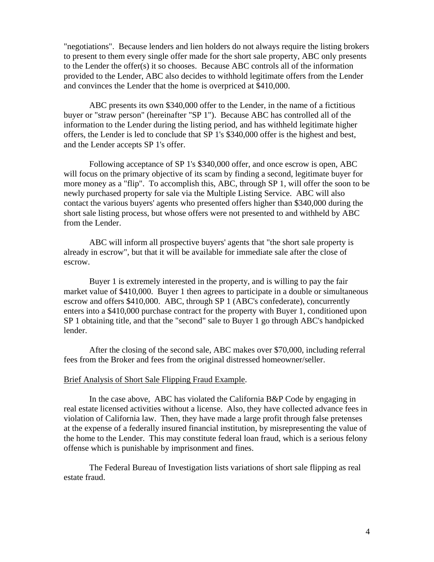"negotiations". Because lenders and lien holders do not always require the listing brokers to present to them every single offer made for the short sale property, ABC only presents to the Lender the offer(s) it so chooses. Because ABC controls all of the information provided to the Lender, ABC also decides to withhold legitimate offers from the Lender and convinces the Lender that the home is overpriced at \$410,000.

 ABC presents its own \$340,000 offer to the Lender, in the name of a fictitious buyer or "straw person" (hereinafter "SP 1"). Because ABC has controlled all of the information to the Lender during the listing period, and has withheld legitimate higher offers, the Lender is led to conclude that SP 1's \$340,000 offer is the highest and best, and the Lender accepts SP 1's offer.

 Following acceptance of SP 1's \$340,000 offer, and once escrow is open, ABC will focus on the primary objective of its scam by finding a second, legitimate buyer for more money as a "flip". To accomplish this, ABC, through SP 1, will offer the soon to be newly purchased property for sale via the Multiple Listing Service. ABC will also contact the various buyers' agents who presented offers higher than \$340,000 during the short sale listing process, but whose offers were not presented to and withheld by ABC from the Lender.

 ABC will inform all prospective buyers' agents that "the short sale property is already in escrow", but that it will be available for immediate sale after the close of escrow.

 Buyer 1 is extremely interested in the property, and is willing to pay the fair market value of \$410,000. Buyer 1 then agrees to participate in a double or simultaneous escrow and offers \$410,000. ABC, through SP 1 (ABC's confederate), concurrently enters into a \$410,000 purchase contract for the property with Buyer 1, conditioned upon SP 1 obtaining title, and that the "second" sale to Buyer 1 go through ABC's handpicked lender.

 After the closing of the second sale, ABC makes over \$70,000, including referral fees from the Broker and fees from the original distressed homeowner/seller.

#### Brief Analysis of Short Sale Flipping Fraud Example.

 In the case above, ABC has violated the California B&P Code by engaging in real estate licensed activities without a license. Also, they have collected advance fees in violation of California law. Then, they have made a large profit through false pretenses at the expense of a federally insured financial institution, by misrepresenting the value of the home to the Lender. This may constitute federal loan fraud, which is a serious felony offense which is punishable by imprisonment and fines.

 The Federal Bureau of Investigation lists variations of short sale flipping as real estate fraud.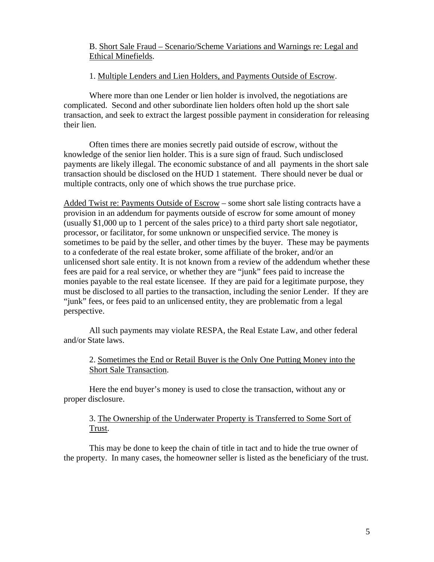# B. Short Sale Fraud – Scenario/Scheme Variations and Warnings re: Legal and Ethical Minefields.

### 1. Multiple Lenders and Lien Holders, and Payments Outside of Escrow.

Where more than one Lender or lien holder is involved, the negotiations are complicated. Second and other subordinate lien holders often hold up the short sale transaction, and seek to extract the largest possible payment in consideration for releasing their lien.

Often times there are monies secretly paid outside of escrow, without the knowledge of the senior lien holder. This is a sure sign of fraud. Such undisclosed payments are likely illegal. The economic substance of and all payments in the short sale transaction should be disclosed on the HUD 1 statement. There should never be dual or multiple contracts, only one of which shows the true purchase price.

Added Twist re: Payments Outside of Escrow – some short sale listing contracts have a provision in an addendum for payments outside of escrow for some amount of money (usually \$1,000 up to 1 percent of the sales price) to a third party short sale negotiator, processor, or facilitator, for some unknown or unspecified service. The money is sometimes to be paid by the seller, and other times by the buyer. These may be payments to a confederate of the real estate broker, some affiliate of the broker, and/or an unlicensed short sale entity. It is not known from a review of the addendum whether these fees are paid for a real service, or whether they are "junk" fees paid to increase the monies payable to the real estate licensee. If they are paid for a legitimate purpose, they must be disclosed to all parties to the transaction, including the senior Lender. If they are "junk" fees, or fees paid to an unlicensed entity, they are problematic from a legal perspective.

All such payments may violate RESPA, the Real Estate Law, and other federal and/or State laws.

2. Sometimes the End or Retail Buyer is the Only One Putting Money into the Short Sale Transaction.

Here the end buyer's money is used to close the transaction, without any or proper disclosure.

# 3. The Ownership of the Underwater Property is Transferred to Some Sort of Trust.

This may be done to keep the chain of title in tact and to hide the true owner of the property. In many cases, the homeowner seller is listed as the beneficiary of the trust.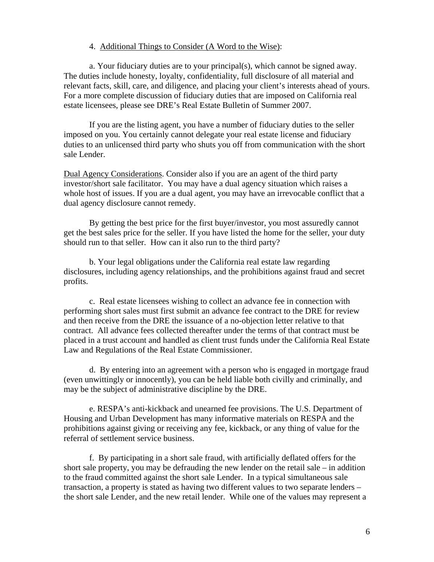### 4. Additional Things to Consider (A Word to the Wise):

a. Your fiduciary duties are to your principal(s), which cannot be signed away. The duties include honesty, loyalty, confidentiality, full disclosure of all material and relevant facts, skill, care, and diligence, and placing your client's interests ahead of yours. For a more complete discussion of fiduciary duties that are imposed on California real estate licensees, please see DRE's Real Estate Bulletin of Summer 2007.

If you are the listing agent, you have a number of fiduciary duties to the seller imposed on you. You certainly cannot delegate your real estate license and fiduciary duties to an unlicensed third party who shuts you off from communication with the short sale Lender.

Dual Agency Considerations. Consider also if you are an agent of the third party investor/short sale facilitator. You may have a dual agency situation which raises a whole host of issues. If you are a dual agent, you may have an irrevocable conflict that a dual agency disclosure cannot remedy.

By getting the best price for the first buyer/investor, you most assuredly cannot get the best sales price for the seller. If you have listed the home for the seller, your duty should run to that seller. How can it also run to the third party?

b. Your legal obligations under the California real estate law regarding disclosures, including agency relationships, and the prohibitions against fraud and secret profits.

c. Real estate licensees wishing to collect an advance fee in connection with performing short sales must first submit an advance fee contract to the DRE for review and then receive from the DRE the issuance of a no-objection letter relative to that contract. All advance fees collected thereafter under the terms of that contract must be placed in a trust account and handled as client trust funds under the California Real Estate Law and Regulations of the Real Estate Commissioner.

d. By entering into an agreement with a person who is engaged in mortgage fraud (even unwittingly or innocently), you can be held liable both civilly and criminally, and may be the subject of administrative discipline by the DRE.

e. RESPA's anti-kickback and unearned fee provisions. The U.S. Department of Housing and Urban Development has many informative materials on RESPA and the prohibitions against giving or receiving any fee, kickback, or any thing of value for the referral of settlement service business.

f. By participating in a short sale fraud, with artificially deflated offers for the short sale property, you may be defrauding the new lender on the retail sale – in addition to the fraud committed against the short sale Lender. In a typical simultaneous sale transaction, a property is stated as having two different values to two separate lenders – the short sale Lender, and the new retail lender. While one of the values may represent a